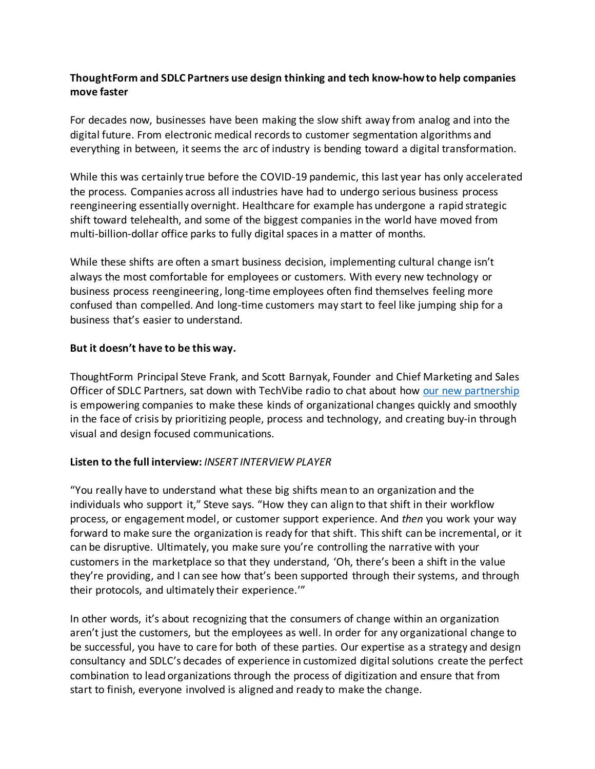## **ThoughtForm and SDLC Partners use design thinking and tech know-how to help companies move faster**

For decades now, businesses have been making the slow shift away from analog and into the digital future. From electronic medical records to customer segmentation algorithms and everything in between, it seems the arc of industry is bending toward a digital transformation.

While this was certainly true before the COVID-19 pandemic, this last year has only accelerated the process. Companies across all industries have had to undergo serious business process reengineering essentially overnight. Healthcare for example has undergone a rapid strategic shift toward telehealth, and some of the biggest companies in the world have moved from multi-billion-dollar office parks to fully digital spacesin a matter of months.

While these shifts are often a smart business decision, implementing cultural change isn't always the most comfortable for employees or customers. With every new technology or business process reengineering, long-time employees often find themselves feeling more confused than compelled. And long-time customers may start to feel like jumping ship for a business that's easier to understand.

## **But it doesn't have to be this way.**

ThoughtForm Principal Steve Frank, and Scott Barnyak, Founder and Chief Marketing and Sales Officer of SDLC Partners, sat down with TechVibe radio to chat about ho[w our new partnership](https://thoughtform.com/conversations/blog/partnership-offers-triple-pathway-for-healthcare/) is empowering companies to make these kinds of organizational changes quickly and smoothly in the face of crisis by prioritizing people, process and technology, and creating buy-in through visual and design focused communications.

## **Listen to the full interview:** *INSERT INTERVIEW PLAYER*

"You really have to understand what these big shifts mean to an organization and the individuals who support it," Steve says. "How they can align to that shift in their workflow process, or engagement model, or customer support experience. And *then* you work your way forward to make sure the organization is ready for that shift. This shift can be incremental, or it can be disruptive. Ultimately, you make sure you're controlling the narrative with your customers in the marketplace so that they understand, 'Oh, there's been a shift in the value they're providing, and I can see how that's been supported through their systems, and through their protocols, and ultimately their experience.'"

In other words, it's about recognizing that the consumers of change within an organization aren't just the customers, but the employees as well. In order for any organizational change to be successful, you have to care for both of these parties. Our expertise as a strategy and design consultancy and SDLC's decades of experience in customized digital solutions create the perfect combination to lead organizations through the process of digitization and ensure that from start to finish, everyone involved is aligned and ready to make the change.